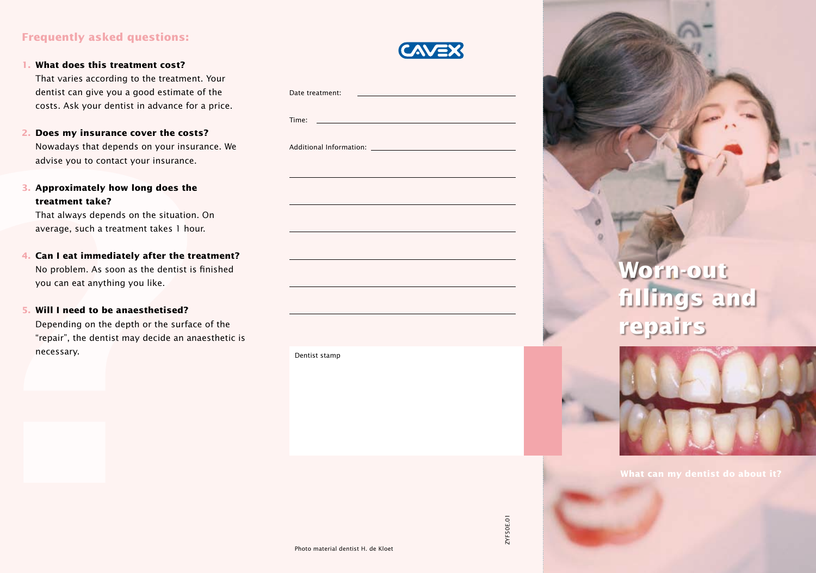## **Frequently asked questions:**

**1. What does this treatment cost?**

That varies according to the treatment. Your dentist can give you a good estimate of the costs. Ask your dentist in advance for a price.

- **2. Does my insurance cover the costs?** Nowadays that depends on your insurance. We advise you to contact your insurance.
- **3. Approximately how long does the treatment take?**

## **5. Will I need to be anaesthetised?**

| That varies according to the treatment. Tour<br>dentist can give you a good estimate of the<br>costs. Ask your dentist in advance for a price.                                                                                                                                                                                                                                                                                               | Date treatment:<br>Time: $\_\_$    |                                     |
|----------------------------------------------------------------------------------------------------------------------------------------------------------------------------------------------------------------------------------------------------------------------------------------------------------------------------------------------------------------------------------------------------------------------------------------------|------------------------------------|-------------------------------------|
| 2. Does my insurance cover the costs?<br>Nowadays that depends on your insurance. We<br>advise you to contact your insurance.                                                                                                                                                                                                                                                                                                                |                                    |                                     |
| 3. Approximately how long does the<br>treatment take?<br>That always depends on the situation. On<br>average, such a treatment takes 1 hour.<br>4. Can I eat immediately after the treatment?<br>No problem. As soon as the dentist is finished<br>you can eat anything you like.<br>5. Will I need to be anaesthetised?<br>Depending on the depth or the surface of the<br>"repair", the dentist may decide an anaesthetic is<br>necessary. |                                    | Worn-out<br>fillings ar<br>repairs  |
|                                                                                                                                                                                                                                                                                                                                                                                                                                              | Dentist stamp                      |                                     |
|                                                                                                                                                                                                                                                                                                                                                                                                                                              | Photo material dentist H. de Kloet | What can my dentist do<br>ZYF50E.01 |





**What can my dentist do about it?**